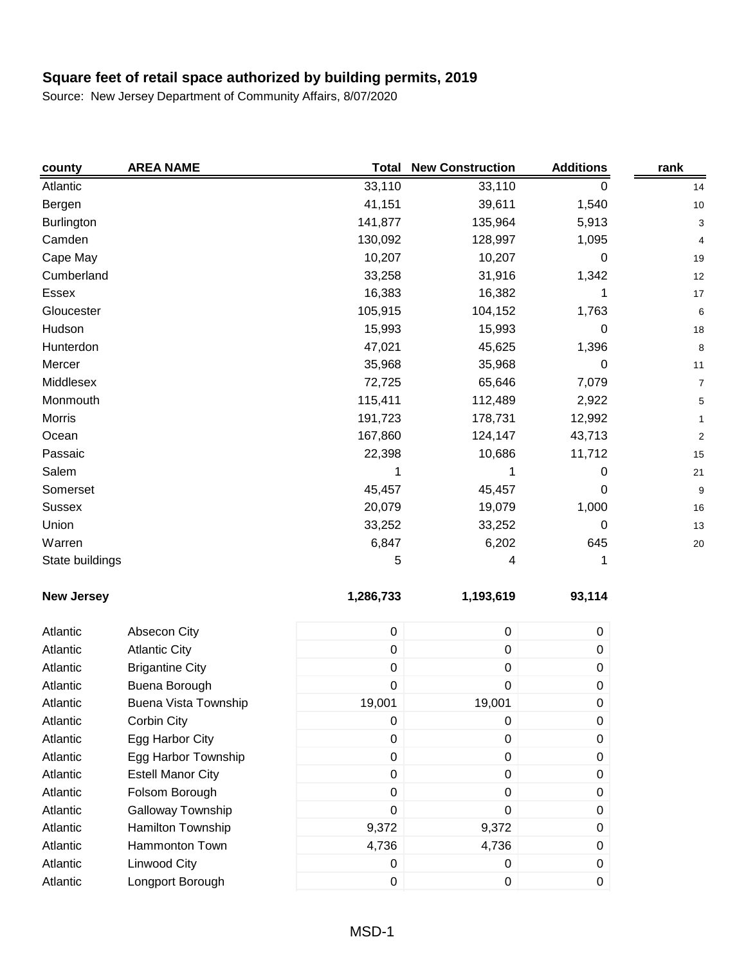| county            | <b>AREA NAME</b>         | <b>Total</b> | <b>New Construction</b> | <b>Additions</b> | rank           |
|-------------------|--------------------------|--------------|-------------------------|------------------|----------------|
| Atlantic          |                          | 33,110       | 33,110                  | 0                | 14             |
| Bergen            |                          | 41,151       | 39,611                  | 1,540            | 10             |
| <b>Burlington</b> |                          | 141,877      | 135,964                 | 5,913            | 3              |
| Camden            |                          | 130,092      | 128,997                 | 1,095            | 4              |
| Cape May          |                          | 10,207       | 10,207                  | 0                | 19             |
| Cumberland        |                          | 33,258       | 31,916                  | 1,342            | 12             |
| <b>Essex</b>      |                          | 16,383       | 16,382                  | 1                | 17             |
| Gloucester        |                          | 105,915      | 104,152                 | 1,763            | 6              |
| Hudson            |                          | 15,993       | 15,993                  | 0                | 18             |
| Hunterdon         |                          | 47,021       | 45,625                  | 1,396            | 8              |
| Mercer            |                          | 35,968       | 35,968                  | 0                | 11             |
| Middlesex         |                          | 72,725       | 65,646                  | 7,079            | 7              |
| Monmouth          |                          | 115,411      | 112,489                 | 2,922            | 5              |
| Morris            |                          | 191,723      | 178,731                 | 12,992           |                |
| Ocean             |                          | 167,860      | 124,147                 | 43,713           | $\overline{c}$ |
| Passaic           |                          | 22,398       | 10,686                  | 11,712           | 15             |
| Salem             |                          |              | 1                       | 0                | 21             |
| Somerset          |                          | 45,457       | 45,457                  | 0                | 9              |
| <b>Sussex</b>     |                          | 20,079       | 19,079                  | 1,000            | 16             |
| Union             |                          | 33,252       | 33,252                  | 0                | 13             |
| Warren            |                          | 6,847        | 6,202                   | 645              | 20             |
| State buildings   |                          | 5            | 4                       | 1                |                |
| <b>New Jersey</b> |                          | 1,286,733    | 1,193,619               | 93,114           |                |
| Atlantic          | Absecon City             | $\pmb{0}$    | $\pmb{0}$               | 0                |                |
| Atlantic          | <b>Atlantic City</b>     | $\pmb{0}$    | $\pmb{0}$               | $\pmb{0}$        |                |
| Atlantic          | <b>Brigantine City</b>   | 0            | 0                       | $\pmb{0}$        |                |
| Atlantic          | Buena Borough            | 0            | 0                       | $\pmb{0}$        |                |
| Atlantic          | Buena Vista Township     | 19,001       | 19,001                  | 0                |                |
| Atlantic          | Corbin City              | 0            | 0                       | $\boldsymbol{0}$ |                |
| Atlantic          | Egg Harbor City          | 0            | 0                       | $\pmb{0}$        |                |
| Atlantic          | Egg Harbor Township      | 0            | $\pmb{0}$               | 0                |                |
| Atlantic          | <b>Estell Manor City</b> | $\pmb{0}$    | $\pmb{0}$               | 0                |                |
| Atlantic          | Folsom Borough           | 0            | $\mathbf 0$             | 0                |                |
| Atlantic          | Galloway Township        | $\pmb{0}$    | 0                       | 0                |                |
| Atlantic          | Hamilton Township        | 9,372        | 9,372                   | 0                |                |
| Atlantic          | Hammonton Town           | 4,736        | 4,736                   | 0                |                |
| Atlantic          | <b>Linwood City</b>      | 0            | 0                       | 0                |                |
| Atlantic          | Longport Borough         | 0            | 0                       | $\mathbf 0$      |                |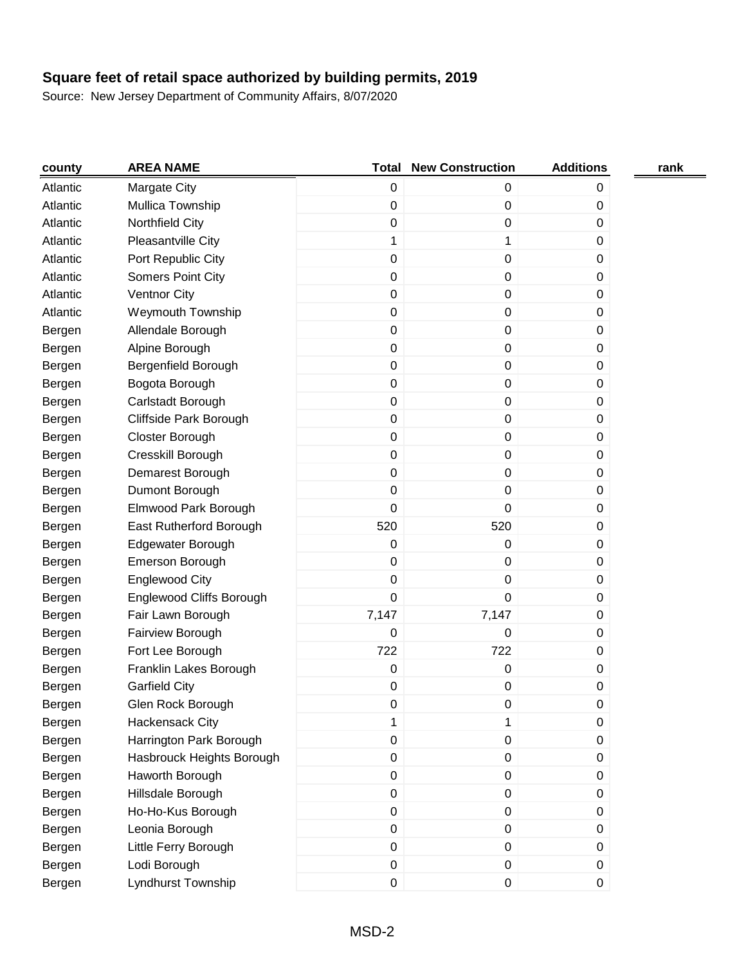| county   | <b>AREA NAME</b>          |                  | <b>Total New Construction</b> | <b>Additions</b> | rank |
|----------|---------------------------|------------------|-------------------------------|------------------|------|
| Atlantic | Margate City              | 0                | 0                             | 0                |      |
| Atlantic | Mullica Township          | 0                | 0                             | 0                |      |
| Atlantic | Northfield City           | 0                | 0                             | 0                |      |
| Atlantic | Pleasantville City        | 1                | 1                             | 0                |      |
| Atlantic | Port Republic City        | $\pmb{0}$        | 0                             | 0                |      |
| Atlantic | <b>Somers Point City</b>  | $\pmb{0}$        | 0                             | 0                |      |
| Atlantic | <b>Ventnor City</b>       | 0                | 0                             | 0                |      |
| Atlantic | Weymouth Township         | 0                | 0                             | 0                |      |
| Bergen   | Allendale Borough         | $\boldsymbol{0}$ | $\pmb{0}$                     | 0                |      |
| Bergen   | Alpine Borough            | 0                | 0                             | 0                |      |
| Bergen   | Bergenfield Borough       | $\pmb{0}$        | 0                             | 0                |      |
| Bergen   | Bogota Borough            | 0                | 0                             | 0                |      |
| Bergen   | Carlstadt Borough         | $\pmb{0}$        | 0                             | 0                |      |
| Bergen   | Cliffside Park Borough    | $\pmb{0}$        | 0                             | 0                |      |
| Bergen   | Closter Borough           | $\pmb{0}$        | 0                             | 0                |      |
| Bergen   | Cresskill Borough         | $\boldsymbol{0}$ | 0                             | 0                |      |
| Bergen   | Demarest Borough          | 0                | 0                             | 0                |      |
| Bergen   | Dumont Borough            | $\boldsymbol{0}$ | 0                             | 0                |      |
| Bergen   | Elmwood Park Borough      | 0                | 0                             | 0                |      |
| Bergen   | East Rutherford Borough   | 520              | 520                           | 0                |      |
| Bergen   | Edgewater Borough         | 0                | 0                             | 0                |      |
| Bergen   | Emerson Borough           | $\pmb{0}$        | 0                             | 0                |      |
| Bergen   | <b>Englewood City</b>     | $\pmb{0}$        | 0                             | 0                |      |
| Bergen   | Englewood Cliffs Borough  | $\mathbf 0$      | 0                             | 0                |      |
| Bergen   | Fair Lawn Borough         | 7,147            | 7,147                         | 0                |      |
| Bergen   | Fairview Borough          | 0                | 0                             | 0                |      |
| Bergen   | Fort Lee Borough          | 722              | 722                           | 0                |      |
| Bergen   | Franklin Lakes Borough    | $\,0\,$          | 0                             | 0                |      |
| Bergen   | <b>Garfield City</b>      | 0                | 0                             | 0                |      |
| Bergen   | Glen Rock Borough         | 0                | 0                             | 0                |      |
| Bergen   | Hackensack City           | 1                | 1                             | 0                |      |
| Bergen   | Harrington Park Borough   | 0                | $\pmb{0}$                     | 0                |      |
| Bergen   | Hasbrouck Heights Borough | $\mathbf 0$      | 0                             | 0                |      |
| Bergen   | Haworth Borough           | $\mathbf 0$      | $\pmb{0}$                     | 0                |      |
| Bergen   | Hillsdale Borough         | $\mathbf 0$      | 0                             | 0                |      |
| Bergen   | Ho-Ho-Kus Borough         | $\mathbf 0$      | 0                             | 0                |      |
| Bergen   | Leonia Borough            | $\mathbf 0$      | 0                             | 0                |      |
| Bergen   | Little Ferry Borough      | $\mathbf 0$      | 0                             | 0                |      |
| Bergen   | Lodi Borough              | $\pmb{0}$        | 0                             | 0                |      |
| Bergen   | Lyndhurst Township        | 0                | 0                             | $\pmb{0}$        |      |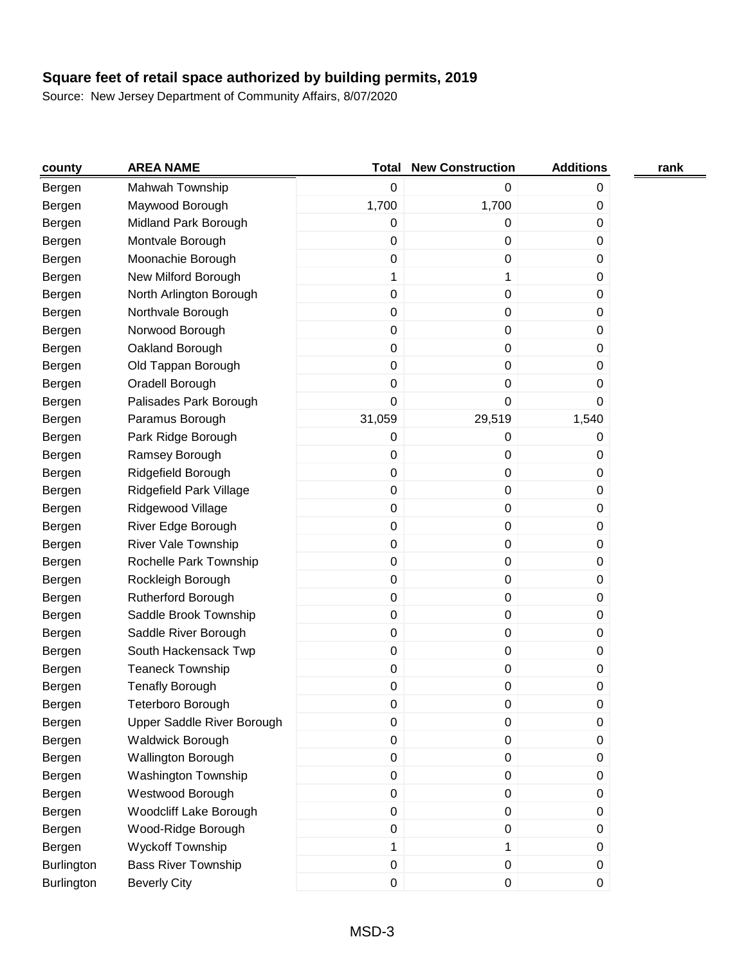| county     | <b>AREA NAME</b>           |             | <b>Total New Construction</b> | <b>Additions</b> | rank |
|------------|----------------------------|-------------|-------------------------------|------------------|------|
| Bergen     | Mahwah Township            | $\pmb{0}$   | 0                             | 0                |      |
| Bergen     | Maywood Borough            | 1,700       | 1,700                         | $\boldsymbol{0}$ |      |
| Bergen     | Midland Park Borough       | 0           | 0                             | 0                |      |
| Bergen     | Montvale Borough           | $\pmb{0}$   | 0                             | 0                |      |
| Bergen     | Moonachie Borough          | $\pmb{0}$   | 0                             | 0                |      |
| Bergen     | New Milford Borough        | 1           | 1                             | 0                |      |
| Bergen     | North Arlington Borough    | 0           | 0                             | 0                |      |
| Bergen     | Northvale Borough          | 0           | 0                             | 0                |      |
| Bergen     | Norwood Borough            | 0           | 0                             | 0                |      |
| Bergen     | Oakland Borough            | $\pmb{0}$   | 0                             | 0                |      |
| Bergen     | Old Tappan Borough         | $\pmb{0}$   | 0                             | 0                |      |
| Bergen     | Oradell Borough            | $\pmb{0}$   | 0                             | 0                |      |
| Bergen     | Palisades Park Borough     | $\mathbf 0$ | 0                             | 0                |      |
| Bergen     | Paramus Borough            | 31,059      | 29,519                        | 1,540            |      |
| Bergen     | Park Ridge Borough         | 0           | 0                             | 0                |      |
| Bergen     | Ramsey Borough             | 0           | 0                             | 0                |      |
| Bergen     | Ridgefield Borough         | 0           | 0                             | 0                |      |
| Bergen     | Ridgefield Park Village    | $\pmb{0}$   | 0                             | $\pmb{0}$        |      |
| Bergen     | Ridgewood Village          | $\pmb{0}$   | 0                             | 0                |      |
| Bergen     | River Edge Borough         | $\pmb{0}$   | 0                             | $\boldsymbol{0}$ |      |
| Bergen     | <b>River Vale Township</b> | $\pmb{0}$   | 0                             | 0                |      |
| Bergen     | Rochelle Park Township     | $\pmb{0}$   | 0                             | 0                |      |
| Bergen     | Rockleigh Borough          | $\pmb{0}$   | 0                             | $\pmb{0}$        |      |
| Bergen     | Rutherford Borough         | 0           | 0                             | 0                |      |
| Bergen     | Saddle Brook Township      | 0           | 0                             | 0                |      |
| Bergen     | Saddle River Borough       | $\pmb{0}$   | 0                             | 0                |      |
| Bergen     | South Hackensack Twp       | $\pmb{0}$   | 0                             | $\pmb{0}$        |      |
| Bergen     | <b>Teaneck Township</b>    | $\pmb{0}$   | 0                             | 0                |      |
| Bergen     | <b>Tenafly Borough</b>     | 0           | 0                             | 0                |      |
| Bergen     | Teterboro Borough          | 0           | 0                             | 0                |      |
| Bergen     | Upper Saddle River Borough | $\mathbf 0$ | 0                             | $\boldsymbol{0}$ |      |
| Bergen     | Waldwick Borough           | $\mathsf 0$ | $\pmb{0}$                     | $\pmb{0}$        |      |
| Bergen     | <b>Wallington Borough</b>  | $\mathsf 0$ | 0                             | 0                |      |
| Bergen     | Washington Township        | $\pmb{0}$   | $\pmb{0}$                     | $\pmb{0}$        |      |
| Bergen     | Westwood Borough           | $\mathsf 0$ | $\pmb{0}$                     | 0                |      |
| Bergen     | Woodcliff Lake Borough     | $\mathsf 0$ | $\pmb{0}$                     | $\boldsymbol{0}$ |      |
| Bergen     | Wood-Ridge Borough         | $\pmb{0}$   | 0                             | 0                |      |
| Bergen     | Wyckoff Township           | 1           | 1                             | $\boldsymbol{0}$ |      |
| Burlington | <b>Bass River Township</b> | $\pmb{0}$   | $\pmb{0}$                     | $\pmb{0}$        |      |
| Burlington | <b>Beverly City</b>        | $\pmb{0}$   | 0                             | $\boldsymbol{0}$ |      |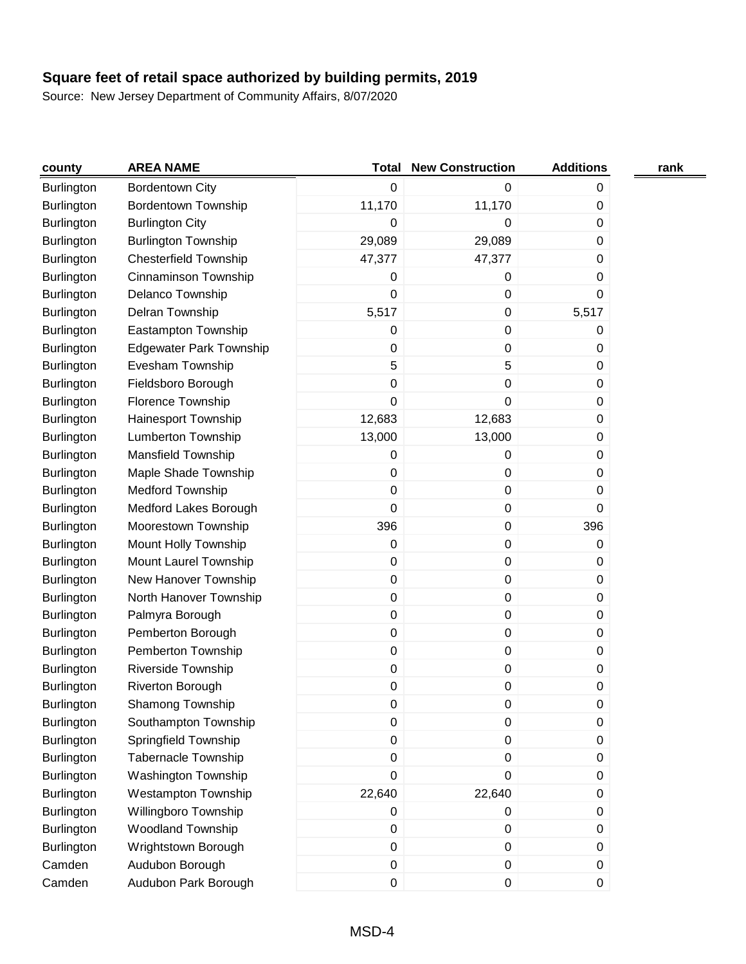| county            | <b>AREA NAME</b>               | Total            | <b>New Construction</b> | <b>Additions</b> | rank |
|-------------------|--------------------------------|------------------|-------------------------|------------------|------|
| <b>Burlington</b> | <b>Bordentown City</b>         | 0                | 0                       | 0                |      |
| Burlington        | <b>Bordentown Township</b>     | 11,170           | 11,170                  | 0                |      |
| <b>Burlington</b> | <b>Burlington City</b>         | 0                | 0                       | 0                |      |
| Burlington        | <b>Burlington Township</b>     | 29,089           | 29,089                  | 0                |      |
| <b>Burlington</b> | <b>Chesterfield Township</b>   | 47,377           | 47,377                  | 0                |      |
| Burlington        | Cinnaminson Township           | 0                | 0                       | 0                |      |
| Burlington        | Delanco Township               | 0                | $\boldsymbol{0}$        | 0                |      |
| <b>Burlington</b> | Delran Township                | 5,517            | $\pmb{0}$               | 5,517            |      |
| <b>Burlington</b> | Eastampton Township            | 0                | $\pmb{0}$               | 0                |      |
| Burlington        | <b>Edgewater Park Township</b> | 0                | 0                       | 0                |      |
| Burlington        | Evesham Township               | 5                | 5                       | 0                |      |
| <b>Burlington</b> | Fieldsboro Borough             | 0                | $\pmb{0}$               | 0                |      |
| Burlington        | Florence Township              | 0                | $\pmb{0}$               | 0                |      |
| <b>Burlington</b> | Hainesport Township            | 12,683           | 12,683                  | 0                |      |
| Burlington        | Lumberton Township             | 13,000           | 13,000                  | 0                |      |
| <b>Burlington</b> | Mansfield Township             | 0                | $\pmb{0}$               | 0                |      |
| <b>Burlington</b> | Maple Shade Township           | 0                | 0                       | 0                |      |
| Burlington        | Medford Township               | 0                | $\pmb{0}$               | 0                |      |
| <b>Burlington</b> | Medford Lakes Borough          | 0                | $\pmb{0}$               | 0                |      |
| Burlington        | Moorestown Township            | 396              | $\pmb{0}$               | 396              |      |
| Burlington        | Mount Holly Township           | 0                | $\pmb{0}$               | 0                |      |
| Burlington        | Mount Laurel Township          | 0                | 0                       | 0                |      |
| Burlington        | New Hanover Township           | 0                | $\pmb{0}$               | 0                |      |
| Burlington        | North Hanover Township         | 0                | $\pmb{0}$               | 0                |      |
| <b>Burlington</b> | Palmyra Borough                | 0                | $\boldsymbol{0}$        | 0                |      |
| <b>Burlington</b> | Pemberton Borough              | 0                | $\pmb{0}$               | 0                |      |
| Burlington        | Pemberton Township             | 0                | $\pmb{0}$               | 0                |      |
| Burlington        | Riverside Township             | 0                | $\pmb{0}$               | 0                |      |
| Burlington        | Riverton Borough               | 0                | 0                       | 0                |      |
| Burlington        | Shamong Township               | 0                | $\pmb{0}$               | 0                |      |
| Burlington        | Southampton Township           | 0                | $\pmb{0}$               | $\pmb{0}$        |      |
| Burlington        | Springfield Township           | $\boldsymbol{0}$ | $\pmb{0}$               | 0                |      |
| Burlington        | <b>Tabernacle Township</b>     | 0                | $\pmb{0}$               | 0                |      |
| Burlington        | Washington Township            | $\pmb{0}$        | $\boldsymbol{0}$        | 0                |      |
| Burlington        | Westampton Township            | 22,640           | 22,640                  | 0                |      |
| Burlington        | Willingboro Township           | 0                | $\pmb{0}$               | 0                |      |
| <b>Burlington</b> | Woodland Township              | 0                | $\pmb{0}$               | 0                |      |
| Burlington        | Wrightstown Borough            | $\pmb{0}$        | 0                       | 0                |      |
| Camden            | Audubon Borough                | 0                | $\pmb{0}$               | $\pmb{0}$        |      |
| Camden            | Audubon Park Borough           | $\mathsf 0$      | 0                       | 0                |      |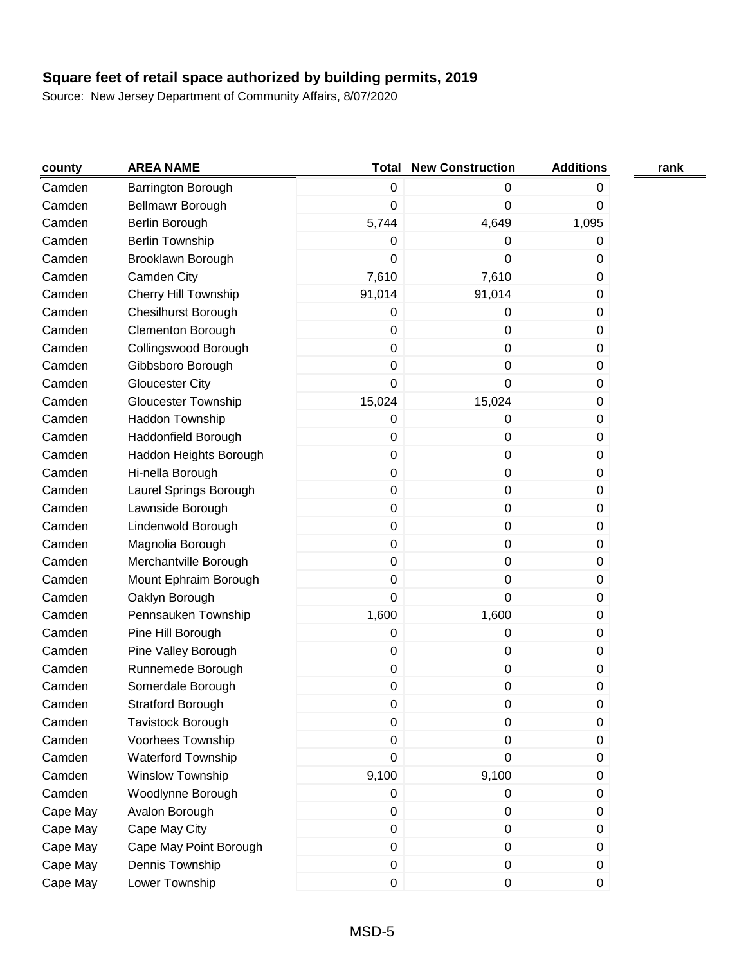| county   | <b>AREA NAME</b>           | Total            | <b>New Construction</b> | <b>Additions</b> | rank |
|----------|----------------------------|------------------|-------------------------|------------------|------|
| Camden   | Barrington Borough         | 0                | 0                       | 0                |      |
| Camden   | Bellmawr Borough           | 0                | 0                       | 0                |      |
| Camden   | Berlin Borough             | 5,744            | 4,649                   | 1,095            |      |
| Camden   | <b>Berlin Township</b>     | 0                | 0                       | 0                |      |
| Camden   | Brooklawn Borough          | 0                | 0                       | 0                |      |
| Camden   | Camden City                | 7,610            | 7,610                   | 0                |      |
| Camden   | Cherry Hill Township       | 91,014           | 91,014                  | 0                |      |
| Camden   | <b>Chesilhurst Borough</b> | 0                | 0                       | 0                |      |
| Camden   | Clementon Borough          | 0                | 0                       | 0                |      |
| Camden   | Collingswood Borough       | 0                | $\pmb{0}$               | 0                |      |
| Camden   | Gibbsboro Borough          | 0                | 0                       | 0                |      |
| Camden   | <b>Gloucester City</b>     | 0                | 0                       | 0                |      |
| Camden   | <b>Gloucester Township</b> | 15,024           | 15,024                  | 0                |      |
| Camden   | Haddon Township            | 0                | 0                       | 0                |      |
| Camden   | Haddonfield Borough        | 0                | 0                       | 0                |      |
| Camden   | Haddon Heights Borough     | $\boldsymbol{0}$ | 0                       | 0                |      |
| Camden   | Hi-nella Borough           | 0                | $\boldsymbol{0}$        | 0                |      |
| Camden   | Laurel Springs Borough     | 0                | 0                       | 0                |      |
| Camden   | Lawnside Borough           | 0                | $\pmb{0}$               | 0                |      |
| Camden   | Lindenwold Borough         | 0                | 0                       | 0                |      |
| Camden   | Magnolia Borough           | 0                | $\pmb{0}$               | 0                |      |
| Camden   | Merchantville Borough      | 0                | 0                       | 0                |      |
| Camden   | Mount Ephraim Borough      | 0                | 0                       | 0                |      |
| Camden   | Oaklyn Borough             | 0                | 0                       | 0                |      |
| Camden   | Pennsauken Township        | 1,600            | 1,600                   | 0                |      |
| Camden   | Pine Hill Borough          | 0                | 0                       | 0                |      |
| Camden   | Pine Valley Borough        | 0                | 0                       | 0                |      |
| Camden   | Runnemede Borough          | 0                | $\pmb{0}$               | 0                |      |
| Camden   | Somerdale Borough          | 0                | 0                       | 0                |      |
| Camden   | <b>Stratford Borough</b>   | 0                | 0                       | 0                |      |
| Camden   | Tavistock Borough          | 0                | 0                       | $\mathbf 0$      |      |
| Camden   | Voorhees Township          | $\boldsymbol{0}$ | 0                       | 0                |      |
| Camden   | Waterford Township         | 0                | 0                       | 0                |      |
| Camden   | Winslow Township           | 9,100            | 9,100                   | 0                |      |
| Camden   | Woodlynne Borough          | 0                | $\pmb{0}$               | 0                |      |
| Cape May | Avalon Borough             | 0                | 0                       | 0                |      |
| Cape May | Cape May City              | 0                | 0                       | 0                |      |
| Cape May | Cape May Point Borough     | 0                | 0                       | $\mathbf 0$      |      |
| Cape May | Dennis Township            | 0                | 0                       | $\pmb{0}$        |      |
| Cape May | Lower Township             | 0                | 0                       | 0                |      |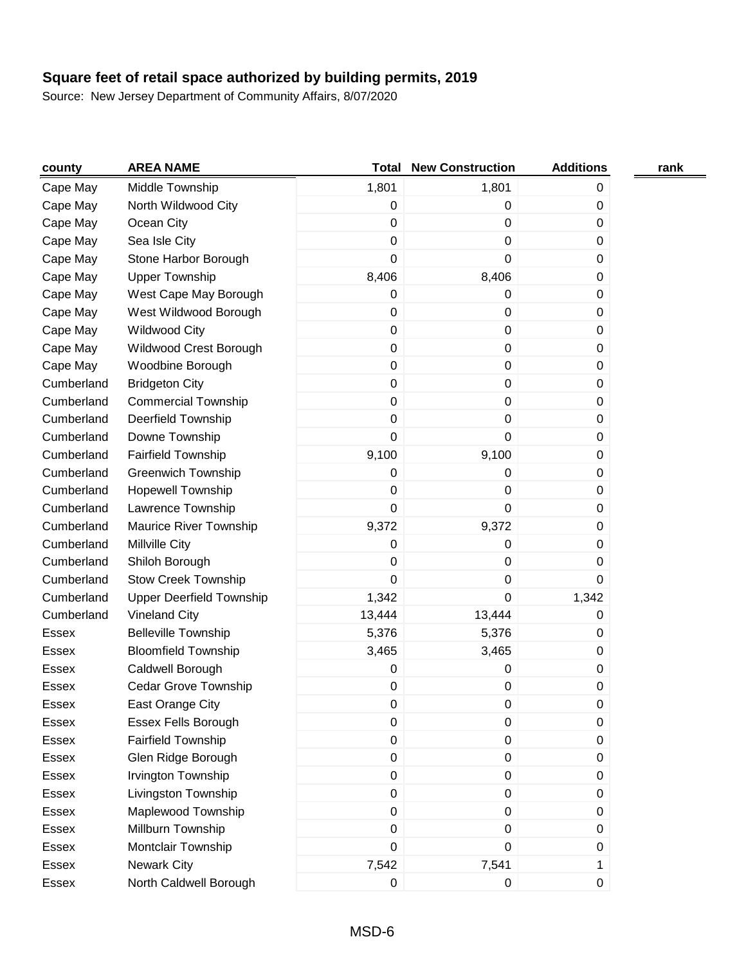| county       | <b>AREA NAME</b>                | <b>Total</b>     | <b>New Construction</b> | <b>Additions</b> | rank |
|--------------|---------------------------------|------------------|-------------------------|------------------|------|
| Cape May     | Middle Township                 | 1,801            | 1,801                   | 0                |      |
| Cape May     | North Wildwood City             | 0                | 0                       | 0                |      |
| Cape May     | Ocean City                      | 0                | $\pmb{0}$               | 0                |      |
| Cape May     | Sea Isle City                   | 0                | 0                       | $\mathbf 0$      |      |
| Cape May     | Stone Harbor Borough            | 0                | 0                       | 0                |      |
| Cape May     | <b>Upper Township</b>           | 8,406            | 8,406                   | 0                |      |
| Cape May     | West Cape May Borough           | 0                | 0                       | 0                |      |
| Cape May     | West Wildwood Borough           | 0                | 0                       | 0                |      |
| Cape May     | <b>Wildwood City</b>            | $\boldsymbol{0}$ | 0                       | $\mathbf 0$      |      |
| Cape May     | Wildwood Crest Borough          | $\boldsymbol{0}$ | 0                       | 0                |      |
| Cape May     | Woodbine Borough                | $\boldsymbol{0}$ | 0                       | 0                |      |
| Cumberland   | <b>Bridgeton City</b>           | $\boldsymbol{0}$ | $\pmb{0}$               | 0                |      |
| Cumberland   | <b>Commercial Township</b>      | 0                | 0                       | $\mathbf 0$      |      |
| Cumberland   | Deerfield Township              | 0                | 0                       | 0                |      |
| Cumberland   | Downe Township                  | 0                | 0                       | 0                |      |
| Cumberland   | <b>Fairfield Township</b>       | 9,100            | 9,100                   | 0                |      |
| Cumberland   | <b>Greenwich Township</b>       | 0                | 0                       | 0                |      |
| Cumberland   | <b>Hopewell Township</b>        | 0                | 0                       | 0                |      |
| Cumberland   | Lawrence Township               | 0                | 0                       | 0                |      |
| Cumberland   | Maurice River Township          | 9,372            | 9,372                   | 0                |      |
| Cumberland   | <b>Millville City</b>           | 0                | 0                       | 0                |      |
| Cumberland   | Shiloh Borough                  | 0                | 0                       | 0                |      |
| Cumberland   | <b>Stow Creek Township</b>      | 0                | $\pmb{0}$               | 0                |      |
| Cumberland   | <b>Upper Deerfield Township</b> | 1,342            | $\pmb{0}$               | 1,342            |      |
| Cumberland   | <b>Vineland City</b>            | 13,444           | 13,444                  | 0                |      |
| Essex        | <b>Belleville Township</b>      | 5,376            | 5,376                   | 0                |      |
| Essex        | <b>Bloomfield Township</b>      | 3,465            | 3,465                   | 0                |      |
| <b>Essex</b> | Caldwell Borough                | 0                | 0                       | 0                |      |
| Essex        | Cedar Grove Township            | 0                | 0                       | 0                |      |
| Essex        | East Orange City                | 0                | 0                       | 0                |      |
| Essex        | Essex Fells Borough             | 0                | 0                       | 0                |      |
| Essex        | <b>Fairfield Township</b>       | 0                | 0                       | 0                |      |
| Essex        | Glen Ridge Borough              | 0                | 0                       | 0                |      |
| Essex        | Irvington Township              | 0                | $\pmb{0}$               | $\pmb{0}$        |      |
| Essex        | Livingston Township             | 0                | 0                       | $\mathbf 0$      |      |
| Essex        | Maplewood Township              | $\boldsymbol{0}$ | 0                       | 0                |      |
| Essex        | Millburn Township               | 0                | $\pmb{0}$               | 0                |      |
| Essex        | Montclair Township              | 0                | 0                       | 0                |      |
| Essex        | <b>Newark City</b>              | 7,542            | 7,541                   | 1                |      |
| Essex        | North Caldwell Borough          | 0                | $\pmb{0}$               | $\pmb{0}$        |      |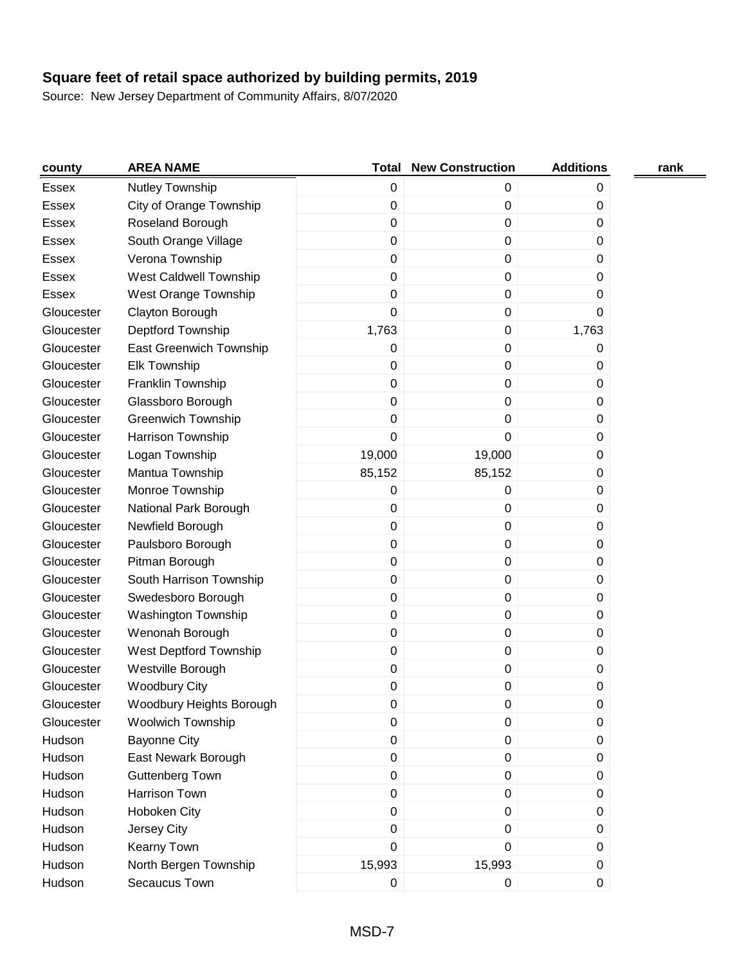| county       | <b>AREA NAME</b>              | Total            | <b>New Construction</b> | <b>Additions</b> | rank |
|--------------|-------------------------------|------------------|-------------------------|------------------|------|
| Essex        | Nutley Township               | 0                | 0                       | 0                |      |
| <b>Essex</b> | City of Orange Township       | 0                | $\pmb{0}$               | 0                |      |
| <b>Essex</b> | Roseland Borough              | 0                | 0                       | 0                |      |
| Essex        | South Orange Village          | $\mathbf 0$      | 0                       | 0                |      |
| <b>Essex</b> | Verona Township               | 0                | 0                       | 0                |      |
| Essex        | <b>West Caldwell Township</b> | 0                | $\pmb{0}$               | 0                |      |
| <b>Essex</b> | West Orange Township          | 0                | 0                       | 0                |      |
| Gloucester   | Clayton Borough               | 0                | $\pmb{0}$               | 0                |      |
| Gloucester   | Deptford Township             | 1,763            | 0                       | 1,763            |      |
| Gloucester   | East Greenwich Township       | 0                | $\pmb{0}$               | 0                |      |
| Gloucester   | <b>Elk Township</b>           | 0                | 0                       | 0                |      |
| Gloucester   | Franklin Township             | $\boldsymbol{0}$ | 0                       | 0                |      |
| Gloucester   | Glassboro Borough             | $\mathbf 0$      | 0                       | 0                |      |
| Gloucester   | <b>Greenwich Township</b>     | 0                | 0                       | 0                |      |
| Gloucester   | Harrison Township             | 0                | 0                       | 0                |      |
| Gloucester   | Logan Township                | 19,000           | 19,000                  | 0                |      |
| Gloucester   | Mantua Township               | 85,152           | 85,152                  | 0                |      |
| Gloucester   | Monroe Township               | 0                | 0                       | 0                |      |
| Gloucester   | National Park Borough         | 0                | $\pmb{0}$               | 0                |      |
| Gloucester   | Newfield Borough              | 0                | 0                       | 0                |      |
| Gloucester   | Paulsboro Borough             | $\boldsymbol{0}$ | 0                       | 0                |      |
| Gloucester   | Pitman Borough                | 0                | $\pmb{0}$               | 0                |      |
| Gloucester   | South Harrison Township       | 0                | $\boldsymbol{0}$        | 0                |      |
| Gloucester   | Swedesboro Borough            | 0                | $\pmb{0}$               | 0                |      |
| Gloucester   | <b>Washington Township</b>    | 0                | 0                       | 0                |      |
| Gloucester   | Wenonah Borough               | 0                | $\pmb{0}$               | 0                |      |
| Gloucester   | West Deptford Township        | 0                | 0                       | 0                |      |
| Gloucester   | Westville Borough             | 0                | $\pmb{0}$               | 0                |      |
| Gloucester   | <b>Woodbury City</b>          | 0                | 0                       | 0                |      |
| Gloucester   | Woodbury Heights Borough      | $\pmb{0}$        | 0                       | 0                |      |
| Gloucester   | <b>Woolwich Township</b>      | 0                | $\pmb{0}$               | 0                |      |
| Hudson       | <b>Bayonne City</b>           | $\boldsymbol{0}$ | $\boldsymbol{0}$        | $\pmb{0}$        |      |
| Hudson       | East Newark Borough           | 0                | 0                       | 0                |      |
| Hudson       | <b>Guttenberg Town</b>        | 0                | 0                       | $\mathbf 0$      |      |
| Hudson       | <b>Harrison Town</b>          | 0                | 0                       | 0                |      |
| Hudson       | Hoboken City                  | 0                | 0                       | $\mathbf 0$      |      |
| Hudson       | Jersey City                   | 0                | 0                       | 0                |      |
| Hudson       | Kearny Town                   | 0                | 0                       | 0                |      |
| Hudson       | North Bergen Township         | 15,993           | 15,993                  | $\pmb{0}$        |      |
| Hudson       | Secaucus Town                 | 0                | 0                       | $\pmb{0}$        |      |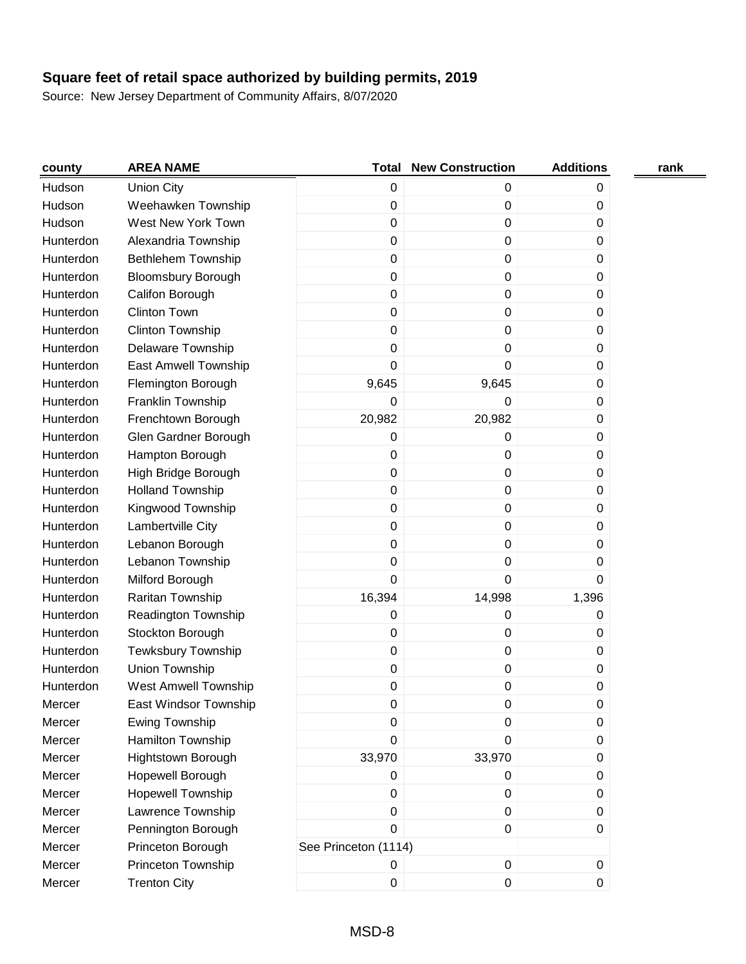| county    | <b>AREA NAME</b>            | Total                | <b>New Construction</b> | <b>Additions</b> | rank |
|-----------|-----------------------------|----------------------|-------------------------|------------------|------|
| Hudson    | <b>Union City</b>           | $\pmb{0}$            | 0                       | 0                |      |
| Hudson    | Weehawken Township          | $\pmb{0}$            | 0                       | 0                |      |
| Hudson    | West New York Town          | $\pmb{0}$            | 0                       | 0                |      |
| Hunterdon | Alexandria Township         | $\pmb{0}$            | 0                       | 0                |      |
| Hunterdon | Bethlehem Township          | $\pmb{0}$            | 0                       | 0                |      |
| Hunterdon | <b>Bloomsbury Borough</b>   | 0                    | 0                       | 0                |      |
| Hunterdon | Califon Borough             | $\pmb{0}$            | 0                       | 0                |      |
| Hunterdon | <b>Clinton Town</b>         | 0                    | 0                       | 0                |      |
| Hunterdon | Clinton Township            | $\mathbf 0$          | 0                       | 0                |      |
| Hunterdon | Delaware Township           | 0                    | 0                       | 0                |      |
| Hunterdon | East Amwell Township        | 0                    | 0                       | 0                |      |
| Hunterdon | Flemington Borough          | 9,645                | 9,645                   | 0                |      |
| Hunterdon | Franklin Township           | 0                    | 0                       | 0                |      |
| Hunterdon | Frenchtown Borough          | 20,982               | 20,982                  | 0                |      |
| Hunterdon | Glen Gardner Borough        | 0                    | 0                       | 0                |      |
| Hunterdon | Hampton Borough             | $\pmb{0}$            | 0                       | 0                |      |
| Hunterdon | High Bridge Borough         | $\mathbf 0$          | 0                       | 0                |      |
| Hunterdon | <b>Holland Township</b>     | 0                    | 0                       | 0                |      |
| Hunterdon | Kingwood Township           | $\pmb{0}$            | 0                       | 0                |      |
| Hunterdon | Lambertville City           | $\pmb{0}$            | 0                       | 0                |      |
| Hunterdon | Lebanon Borough             | $\pmb{0}$            | 0                       | 0                |      |
| Hunterdon | Lebanon Township            | $\boldsymbol{0}$     | 0                       | 0                |      |
| Hunterdon | Milford Borough             | $\mathbf 0$          | 0                       | 0                |      |
| Hunterdon | Raritan Township            | 16,394               | 14,998                  | 1,396            |      |
| Hunterdon | Readington Township         | 0                    | 0                       | 0                |      |
| Hunterdon | Stockton Borough            | 0                    | 0                       | 0                |      |
| Hunterdon | <b>Tewksbury Township</b>   | $\pmb{0}$            | 0                       | 0                |      |
| Hunterdon | Union Township              | 0                    | 0                       | 0                |      |
| Hunterdon | <b>West Amwell Township</b> | 0                    | 0                       | 0                |      |
| Mercer    | East Windsor Township       | $\mathbf 0$          | 0                       | 0                |      |
| Mercer    | Ewing Township              | $\pmb{0}$            | 0                       | 0                |      |
| Mercer    | Hamilton Township           | $\boldsymbol{0}$     | 0                       | $\pmb{0}$        |      |
| Mercer    | Hightstown Borough          | 33,970               | 33,970                  | 0                |      |
| Mercer    | Hopewell Borough            | 0                    | 0                       | 0                |      |
| Mercer    | <b>Hopewell Township</b>    | $\pmb{0}$            | 0                       | 0                |      |
| Mercer    | Lawrence Township           | $\pmb{0}$            | 0                       | $\mathbf 0$      |      |
| Mercer    | Pennington Borough          | $\mathbf 0$          | 0                       | $\mathbf 0$      |      |
| Mercer    | Princeton Borough           | See Princeton (1114) |                         |                  |      |
| Mercer    | Princeton Township          | $\pmb{0}$            | $\pmb{0}$               | $\pmb{0}$        |      |
| Mercer    | <b>Trenton City</b>         | $\,0\,$              | $\pmb{0}$               | $\pmb{0}$        |      |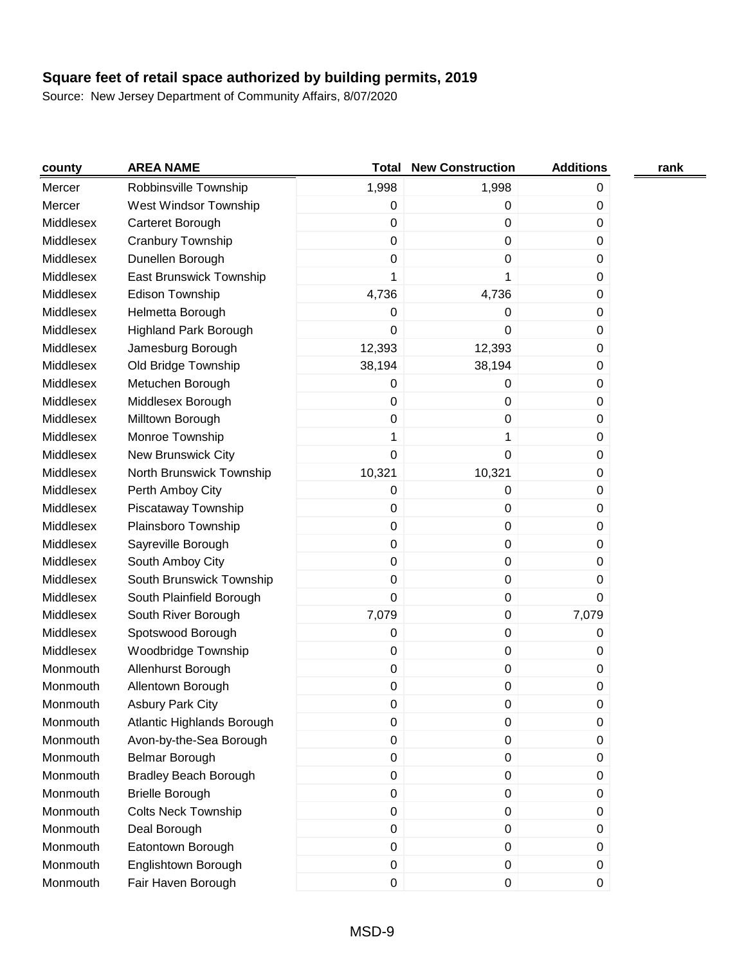| county    | <b>AREA NAME</b>             |             | <b>Total New Construction</b> | <b>Additions</b> | rank |
|-----------|------------------------------|-------------|-------------------------------|------------------|------|
| Mercer    | Robbinsville Township        | 1,998       | 1,998                         | 0                |      |
| Mercer    | West Windsor Township        | 0           | 0                             | 0                |      |
| Middlesex | Carteret Borough             | $\mathbf 0$ | 0                             | 0                |      |
| Middlesex | Cranbury Township            | $\mathbf 0$ | 0                             | 0                |      |
| Middlesex | Dunellen Borough             | $\pmb{0}$   | 0                             | 0                |      |
| Middlesex | East Brunswick Township      | 1           | 1                             | 0                |      |
| Middlesex | Edison Township              | 4,736       | 4,736                         | 0                |      |
| Middlesex | Helmetta Borough             | 0           | 0                             | 0                |      |
| Middlesex | <b>Highland Park Borough</b> | $\mathbf 0$ | 0                             | 0                |      |
| Middlesex | Jamesburg Borough            | 12,393      | 12,393                        | 0                |      |
| Middlesex | Old Bridge Township          | 38,194      | 38,194                        | 0                |      |
| Middlesex | Metuchen Borough             | 0           | 0                             | 0                |      |
| Middlesex | Middlesex Borough            | $\mathbf 0$ | 0                             | 0                |      |
| Middlesex | Milltown Borough             | $\pmb{0}$   | 0                             | 0                |      |
| Middlesex | Monroe Township              | 1           | 1                             | 0                |      |
| Middlesex | New Brunswick City           | $\mathbf 0$ | 0                             | $\pmb{0}$        |      |
| Middlesex | North Brunswick Township     | 10,321      | 10,321                        | 0                |      |
| Middlesex | Perth Amboy City             | 0           | 0                             | 0                |      |
| Middlesex | Piscataway Township          | $\pmb{0}$   | 0                             | 0                |      |
| Middlesex | Plainsboro Township          | $\mathbf 0$ | 0                             | 0                |      |
| Middlesex | Sayreville Borough           | $\mathbf 0$ | 0                             | 0                |      |
| Middlesex | South Amboy City             | $\mathbf 0$ | 0                             | 0                |      |
| Middlesex | South Brunswick Township     | $\pmb{0}$   | 0                             | 0                |      |
| Middlesex | South Plainfield Borough     | $\mathbf 0$ | 0                             | 0                |      |
| Middlesex | South River Borough          | 7,079       | 0                             | 7,079            |      |
| Middlesex | Spotswood Borough            | 0           | 0                             | 0                |      |
| Middlesex | Woodbridge Township          | $\pmb{0}$   | 0                             | 0                |      |
| Monmouth  | Allenhurst Borough           | $\pmb{0}$   | $\pmb{0}$                     | 0                |      |
| Monmouth  | Allentown Borough            | 0           | 0                             | 0                |      |
| Monmouth  | <b>Asbury Park City</b>      | O           | O                             | O                |      |
| Monmouth  | Atlantic Highlands Borough   | 0           | 0                             | 0                |      |
| Monmouth  | Avon-by-the-Sea Borough      | $\pmb{0}$   | 0                             | 0                |      |
| Monmouth  | <b>Belmar Borough</b>        | $\mathbf 0$ | 0                             | 0                |      |
| Monmouth  | <b>Bradley Beach Borough</b> | $\pmb{0}$   | $\pmb{0}$                     | 0                |      |
| Monmouth  | <b>Brielle Borough</b>       | $\pmb{0}$   | 0                             | 0                |      |
| Monmouth  | <b>Colts Neck Township</b>   | $\pmb{0}$   | $\pmb{0}$                     | $\boldsymbol{0}$ |      |
| Monmouth  | Deal Borough                 | $\mathbf 0$ | $\pmb{0}$                     | 0                |      |
| Monmouth  | Eatontown Borough            | $\mathbf 0$ | 0                             | $\boldsymbol{0}$ |      |
| Monmouth  | Englishtown Borough          | 0           | 0                             | 0                |      |
| Monmouth  | Fair Haven Borough           | $\pmb{0}$   | 0                             | $\pmb{0}$        |      |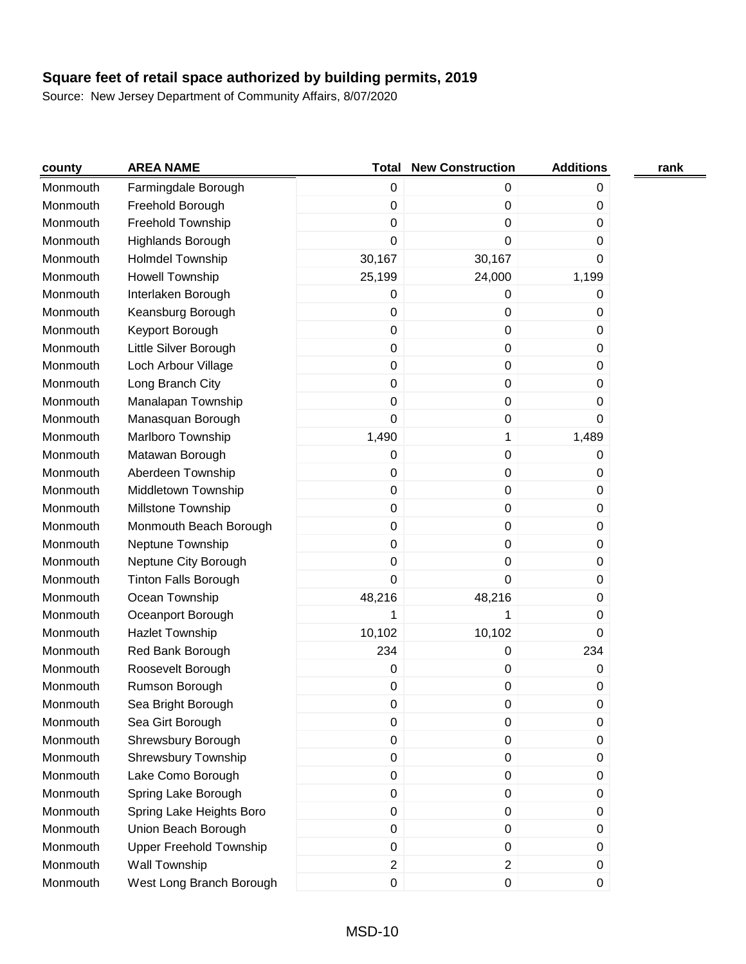| county   | <b>AREA NAME</b>               | Total            | <b>New Construction</b> | <b>Additions</b> | rank |
|----------|--------------------------------|------------------|-------------------------|------------------|------|
| Monmouth | Farmingdale Borough            | $\pmb{0}$        | 0                       | 0                |      |
| Monmouth | Freehold Borough               | $\mathbf 0$      | 0                       | 0                |      |
| Monmouth | Freehold Township              | $\mathbf 0$      | 0                       | 0                |      |
| Monmouth | <b>Highlands Borough</b>       | $\mathbf 0$      | 0                       | 0                |      |
| Monmouth | <b>Holmdel Township</b>        | 30,167           | 30,167                  | 0                |      |
| Monmouth | <b>Howell Township</b>         | 25,199           | 24,000                  | 1,199            |      |
| Monmouth | Interlaken Borough             | 0                | 0                       | 0                |      |
| Monmouth | Keansburg Borough              | $\mathbf 0$      | 0                       | 0                |      |
| Monmouth | Keyport Borough                | $\pmb{0}$        | 0                       | 0                |      |
| Monmouth | Little Silver Borough          | $\pmb{0}$        | $\pmb{0}$               | 0                |      |
| Monmouth | Loch Arbour Village            | $\mathbf 0$      | 0                       | 0                |      |
| Monmouth | Long Branch City               | $\mathbf 0$      | 0                       | 0                |      |
| Monmouth | Manalapan Township             | $\mathbf 0$      | 0                       | 0                |      |
| Monmouth | Manasquan Borough              | $\boldsymbol{0}$ | 0                       | 0                |      |
| Monmouth | Marlboro Township              | 1,490            | $\mathbf 1$             | 1,489            |      |
| Monmouth | Matawan Borough                | 0                | 0                       | 0                |      |
| Monmouth | Aberdeen Township              | $\mathbf 0$      | 0                       | 0                |      |
| Monmouth | Middletown Township            | $\pmb{0}$        | 0                       | 0                |      |
| Monmouth | Millstone Township             | $\mathbf 0$      | $\pmb{0}$               | 0                |      |
| Monmouth | Monmouth Beach Borough         | $\mathbf 0$      | 0                       | 0                |      |
| Monmouth | Neptune Township               | $\mathbf 0$      | 0                       | 0                |      |
| Monmouth | Neptune City Borough           | $\mathbf 0$      | 0                       | 0                |      |
| Monmouth | <b>Tinton Falls Borough</b>    | $\mathbf 0$      | 0                       | 0                |      |
| Monmouth | Ocean Township                 | 48,216           | 48,216                  | 0                |      |
| Monmouth | Oceanport Borough              | 1                | 1                       | 0                |      |
| Monmouth | Hazlet Township                | 10,102           | 10,102                  | 0                |      |
| Monmouth | Red Bank Borough               | 234              | 0                       | 234              |      |
| Monmouth | Roosevelt Borough              | 0                | 0                       | 0                |      |
| Monmouth | Rumson Borough                 | 0                | 0                       | 0                |      |
| Monmouth | Sea Bright Borough             | 0                | 0                       | 0                |      |
| Monmouth | Sea Girt Borough               | 0                | 0                       | $\boldsymbol{0}$ |      |
| Monmouth | Shrewsbury Borough             | $\pmb{0}$        | 0                       | 0                |      |
| Monmouth | <b>Shrewsbury Township</b>     | $\pmb{0}$        | 0                       | 0                |      |
| Monmouth | Lake Como Borough              | $\pmb{0}$        | $\pmb{0}$               | 0                |      |
| Monmouth | Spring Lake Borough            | $\pmb{0}$        | $\pmb{0}$               | $\boldsymbol{0}$ |      |
| Monmouth | Spring Lake Heights Boro       | $\mathbf 0$      | 0                       | $\boldsymbol{0}$ |      |
| Monmouth | Union Beach Borough            | $\mathbf 0$      | 0                       | 0                |      |
| Monmouth | <b>Upper Freehold Township</b> | $\pmb{0}$        | 0                       | $\boldsymbol{0}$ |      |
| Monmouth | Wall Township                  | $\overline{c}$   | $\overline{2}$          | 0                |      |
| Monmouth | West Long Branch Borough       | $\pmb{0}$        | 0                       | 0                |      |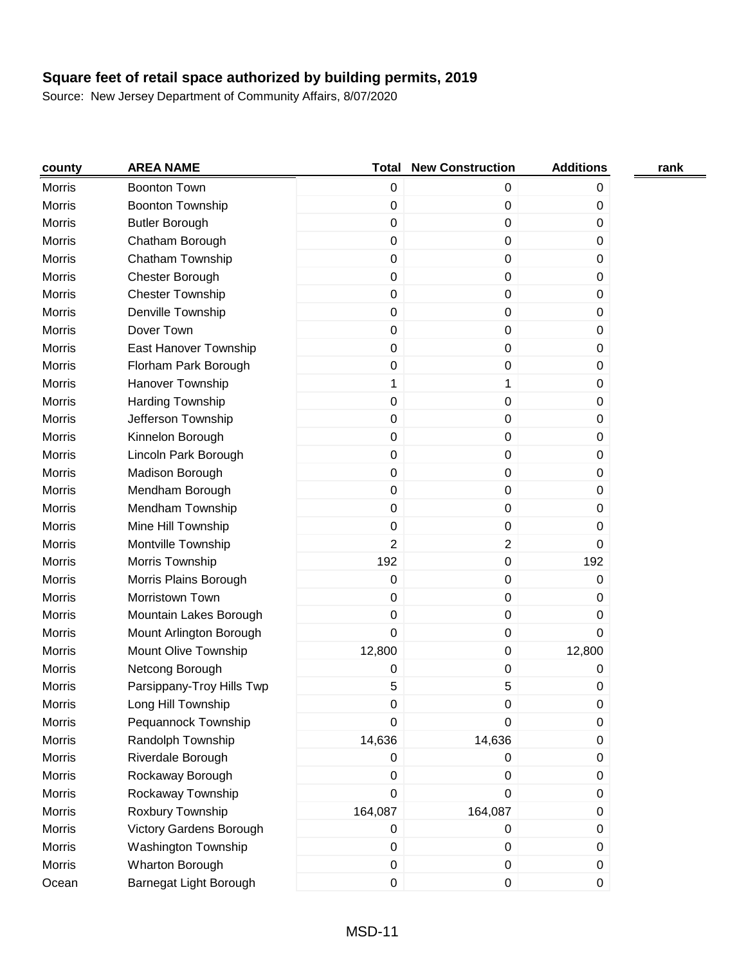| county        | <b>AREA NAME</b>           | <b>Total</b>     | <b>New Construction</b> | <b>Additions</b> | rank |
|---------------|----------------------------|------------------|-------------------------|------------------|------|
| <b>Morris</b> | <b>Boonton Town</b>        | $\pmb{0}$        | 0                       | 0                |      |
| <b>Morris</b> | Boonton Township           | $\pmb{0}$        | 0                       | 0                |      |
| <b>Morris</b> | <b>Butler Borough</b>      | $\mathbf 0$      | 0                       | 0                |      |
| <b>Morris</b> | Chatham Borough            | $\pmb{0}$        | 0                       | 0                |      |
| <b>Morris</b> | Chatham Township           | $\pmb{0}$        | 0                       | 0                |      |
| <b>Morris</b> | Chester Borough            | $\pmb{0}$        | 0                       | 0                |      |
| <b>Morris</b> | <b>Chester Township</b>    | $\pmb{0}$        | 0                       | 0                |      |
| <b>Morris</b> | Denville Township          | $\pmb{0}$        | 0                       | 0                |      |
| Morris        | Dover Town                 | $\pmb{0}$        | 0                       | 0                |      |
| Morris        | East Hanover Township      | $\pmb{0}$        | 0                       | 0                |      |
| <b>Morris</b> | Florham Park Borough       | $\pmb{0}$        | 0                       | 0                |      |
| Morris        | Hanover Township           | 1                | 1                       | 0                |      |
| <b>Morris</b> | <b>Harding Township</b>    | $\boldsymbol{0}$ | 0                       | 0                |      |
| Morris        | Jefferson Township         | $\pmb{0}$        | 0                       | 0                |      |
| <b>Morris</b> | Kinnelon Borough           | $\pmb{0}$        | 0                       | 0                |      |
| <b>Morris</b> | Lincoln Park Borough       | $\pmb{0}$        | 0                       | 0                |      |
| <b>Morris</b> | Madison Borough            | $\pmb{0}$        | 0                       | 0                |      |
| Morris        | Mendham Borough            | $\pmb{0}$        | 0                       | 0                |      |
| <b>Morris</b> | Mendham Township           | $\pmb{0}$        | 0                       | 0                |      |
| <b>Morris</b> | Mine Hill Township         | 0                | 0                       | 0                |      |
| <b>Morris</b> | Montville Township         | $\overline{2}$   | 2                       | 0                |      |
| <b>Morris</b> | Morris Township            | 192              | $\boldsymbol{0}$        | 192              |      |
| <b>Morris</b> | Morris Plains Borough      | $\pmb{0}$        | 0                       | 0                |      |
| <b>Morris</b> | Morristown Town            | $\pmb{0}$        | 0                       | 0                |      |
| <b>Morris</b> | Mountain Lakes Borough     | $\boldsymbol{0}$ | $\boldsymbol{0}$        | 0                |      |
| Morris        | Mount Arlington Borough    | $\mathbf 0$      | 0                       | 0                |      |
| Morris        | Mount Olive Township       | 12,800           | 0                       | 12,800           |      |
| Morris        | Netcong Borough            | 0                | 0                       | 0                |      |
| <b>Morris</b> | Parsippany-Troy Hills Twp  | 5                | 5                       | 0                |      |
| Morris        | Long Hill Township         | 0                | 0                       | 0                |      |
| <b>Morris</b> | Pequannock Township        | $\boldsymbol{0}$ | 0                       | 0                |      |
| Morris        | Randolph Township          | 14,636           | 14,636                  | 0                |      |
| Morris        | Riverdale Borough          | $\pmb{0}$        | 0                       | 0                |      |
| Morris        | Rockaway Borough           | $\pmb{0}$        | 0                       | 0                |      |
| Morris        | Rockaway Township          | 0                | 0                       | 0                |      |
| Morris        | Roxbury Township           | 164,087          | 164,087                 | 0                |      |
| Morris        | Victory Gardens Borough    | $\mathbf 0$      | 0                       | 0                |      |
| Morris        | <b>Washington Township</b> | $\pmb{0}$        | 0                       | 0                |      |
| Morris        | Wharton Borough            | $\pmb{0}$        | $\pmb{0}$               | 0                |      |
| Ocean         | Barnegat Light Borough     | $\pmb{0}$        | 0                       | $\pmb{0}$        |      |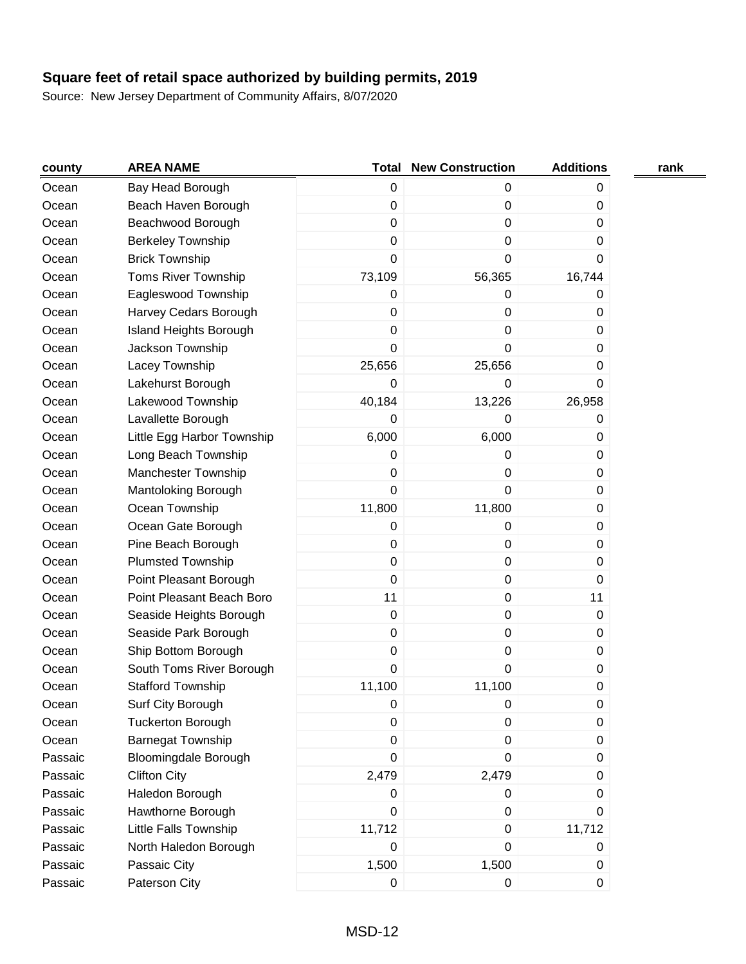| county  | <b>AREA NAME</b>            | <b>Total</b>     | <b>New Construction</b> | <b>Additions</b> | rank |
|---------|-----------------------------|------------------|-------------------------|------------------|------|
| Ocean   | Bay Head Borough            | $\mathbf 0$      | 0                       | 0                |      |
| Ocean   | Beach Haven Borough         | $\pmb{0}$        | 0                       | 0                |      |
| Ocean   | Beachwood Borough           | $\mathbf 0$      | 0                       | 0                |      |
| Ocean   | <b>Berkeley Township</b>    | $\mathbf 0$      | 0                       | 0                |      |
| Ocean   | <b>Brick Township</b>       | $\boldsymbol{0}$ | 0                       | 0                |      |
| Ocean   | <b>Toms River Township</b>  | 73,109           | 56,365                  | 16,744           |      |
| Ocean   | Eagleswood Township         | $\mathbf 0$      | 0                       | 0                |      |
| Ocean   | Harvey Cedars Borough       | $\mathbf 0$      | 0                       | 0                |      |
| Ocean   | Island Heights Borough      | $\pmb{0}$        | 0                       | 0                |      |
| Ocean   | Jackson Township            | 0                | 0                       | 0                |      |
| Ocean   | Lacey Township              | 25,656           | 25,656                  | 0                |      |
| Ocean   | Lakehurst Borough           | 0                | 0                       | 0                |      |
| Ocean   | Lakewood Township           | 40,184           | 13,226                  | 26,958           |      |
| Ocean   | Lavallette Borough          | 0                | 0                       | 0                |      |
| Ocean   | Little Egg Harbor Township  | 6,000            | 6,000                   | 0                |      |
| Ocean   | Long Beach Township         | $\mathbf 0$      | 0                       | 0                |      |
| Ocean   | <b>Manchester Township</b>  | $\pmb{0}$        | 0                       | 0                |      |
| Ocean   | Mantoloking Borough         | $\mathbf 0$      | 0                       | 0                |      |
| Ocean   | Ocean Township              | 11,800           | 11,800                  | 0                |      |
| Ocean   | Ocean Gate Borough          | $\pmb{0}$        | 0                       | 0                |      |
| Ocean   | Pine Beach Borough          | $\pmb{0}$        | 0                       | 0                |      |
| Ocean   | <b>Plumsted Township</b>    | $\pmb{0}$        | 0                       | 0                |      |
| Ocean   | Point Pleasant Borough      | $\boldsymbol{0}$ | 0                       | 0                |      |
| Ocean   | Point Pleasant Beach Boro   | 11               | 0                       | 11               |      |
| Ocean   | Seaside Heights Borough     | $\pmb{0}$        | $\pmb{0}$               | 0                |      |
| Ocean   | Seaside Park Borough        | $\pmb{0}$        | 0                       | 0                |      |
| Ocean   | Ship Bottom Borough         | $\pmb{0}$        | 0                       | 0                |      |
| Ocean   | South Toms River Borough    | 0                | 0                       | 0                |      |
| Ocean   | <b>Stafford Township</b>    | 11,100           | 11,100                  | 0                |      |
| Ocean   | Surf City Borough           | 0                | U                       | 0                |      |
| Ocean   | <b>Tuckerton Borough</b>    | $\mathbf 0$      | 0                       | 0                |      |
| Ocean   | <b>Barnegat Township</b>    | $\mathbf 0$      | 0                       | $\pmb{0}$        |      |
| Passaic | <b>Bloomingdale Borough</b> | $\mathbf 0$      | 0                       | 0                |      |
| Passaic | <b>Clifton City</b>         | 2,479            | 2,479                   | 0                |      |
| Passaic | Haledon Borough             | $\mathbf 0$      | 0                       | 0                |      |
| Passaic | Hawthorne Borough           | $\mathbf 0$      | 0                       | 0                |      |
| Passaic | Little Falls Township       | 11,712           | 0                       | 11,712           |      |
| Passaic | North Haledon Borough       | 0                | 0                       | 0                |      |
| Passaic | Passaic City                | 1,500            | 1,500                   | 0                |      |
| Passaic | Paterson City               | $\mathbf 0$      | 0                       | $\pmb{0}$        |      |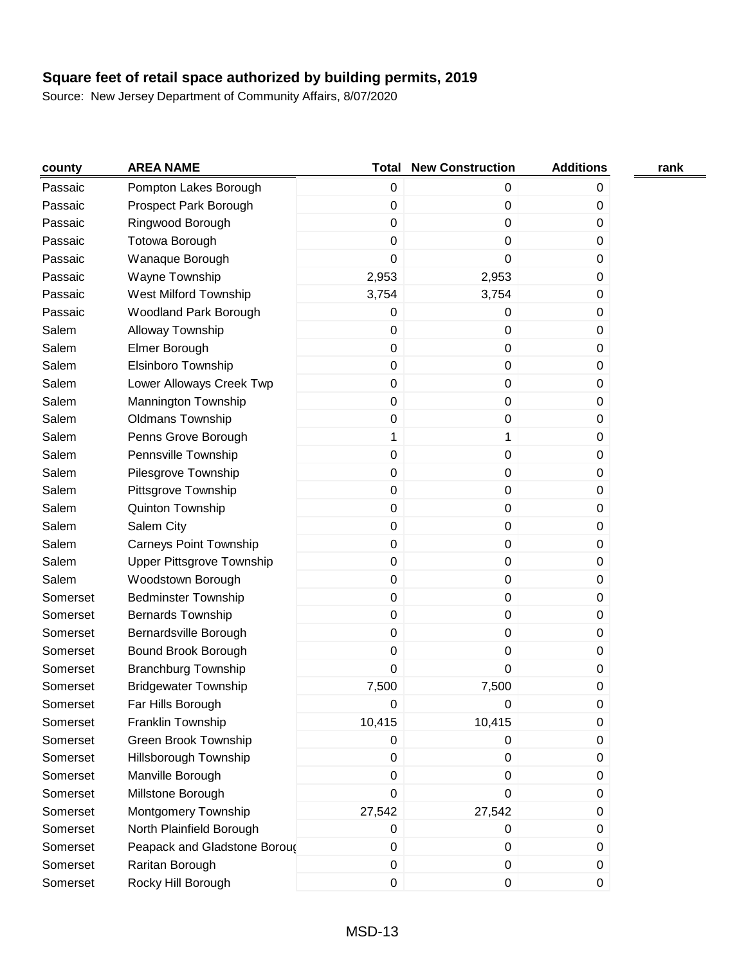| county   | <b>AREA NAME</b>              |             | <b>Total New Construction</b> | <b>Additions</b> | rank |
|----------|-------------------------------|-------------|-------------------------------|------------------|------|
| Passaic  | Pompton Lakes Borough         | $\mathbf 0$ | 0                             | 0                |      |
| Passaic  | Prospect Park Borough         | $\mathbf 0$ | 0                             | 0                |      |
| Passaic  | Ringwood Borough              | 0           | 0                             | 0                |      |
| Passaic  | <b>Totowa Borough</b>         | $\pmb{0}$   | 0                             | 0                |      |
| Passaic  | Wanaque Borough               | $\pmb{0}$   | 0                             | $\pmb{0}$        |      |
| Passaic  | Wayne Township                | 2,953       | 2,953                         | 0                |      |
| Passaic  | West Milford Township         | 3,754       | 3,754                         | 0                |      |
| Passaic  | Woodland Park Borough         | 0           | 0                             | 0                |      |
| Salem    | Alloway Township              | $\pmb{0}$   | 0                             | $\boldsymbol{0}$ |      |
| Salem    | Elmer Borough                 | $\pmb{0}$   | 0                             | 0                |      |
| Salem    | Elsinboro Township            | $\pmb{0}$   | 0                             | $\boldsymbol{0}$ |      |
| Salem    | Lower Alloways Creek Twp      | $\pmb{0}$   | 0                             | 0                |      |
| Salem    | Mannington Township           | $\pmb{0}$   | 0                             | 0                |      |
| Salem    | <b>Oldmans Township</b>       | 0           | 0                             | $\pmb{0}$        |      |
| Salem    | Penns Grove Borough           | 1           | 1                             | 0                |      |
| Salem    | Pennsville Township           | 0           | 0                             | 0                |      |
| Salem    | Pilesgrove Township           | 0           | 0                             | 0                |      |
| Salem    | Pittsgrove Township           | $\pmb{0}$   | 0                             | $\boldsymbol{0}$ |      |
| Salem    | Quinton Township              | $\pmb{0}$   | 0                             | $\boldsymbol{0}$ |      |
| Salem    | Salem City                    | $\mathbf 0$ | $\pmb{0}$                     | $\boldsymbol{0}$ |      |
| Salem    | <b>Carneys Point Township</b> | $\pmb{0}$   | 0                             | 0                |      |
| Salem    | Upper Pittsgrove Township     | $\pmb{0}$   | 0                             | 0                |      |
| Salem    | Woodstown Borough             | 0           | 0                             | $\pmb{0}$        |      |
| Somerset | <b>Bedminster Township</b>    | 0           | 0                             | 0                |      |
| Somerset | <b>Bernards Township</b>      | 0           | 0                             | 0                |      |
| Somerset | Bernardsville Borough         | $\pmb{0}$   | 0                             | 0                |      |
| Somerset | Bound Brook Borough           | $\pmb{0}$   | 0                             | $\boldsymbol{0}$ |      |
| Somerset | <b>Branchburg Township</b>    | $\mathbf 0$ | 0                             | 0                |      |
| Somerset | <b>Bridgewater Township</b>   | 7,500       | 7,500                         | 0                |      |
| Somerset | Far Hills Borough             | $\mathsf 0$ | 0                             | 0                |      |
| Somerset | Franklin Township             | 10,415      | 10,415                        | $\boldsymbol{0}$ |      |
| Somerset | Green Brook Township          | 0           | 0                             | $\boldsymbol{0}$ |      |
| Somerset | Hillsborough Township         | 0           | 0                             | 0                |      |
| Somerset | Manville Borough              | $\mathbf 0$ | 0                             | $\pmb{0}$        |      |
| Somerset | Millstone Borough             | $\mathbf 0$ | 0                             | 0                |      |
| Somerset | <b>Montgomery Township</b>    | 27,542      | 27,542                        | $\boldsymbol{0}$ |      |
| Somerset | North Plainfield Borough      | 0           | 0                             | 0                |      |
| Somerset | Peapack and Gladstone Boroud  | $\mathbf 0$ | $\pmb{0}$                     | 0                |      |
| Somerset | Raritan Borough               | $\pmb{0}$   | $\pmb{0}$                     | $\pmb{0}$        |      |
| Somerset | Rocky Hill Borough            | $\pmb{0}$   | 0                             | $\boldsymbol{0}$ |      |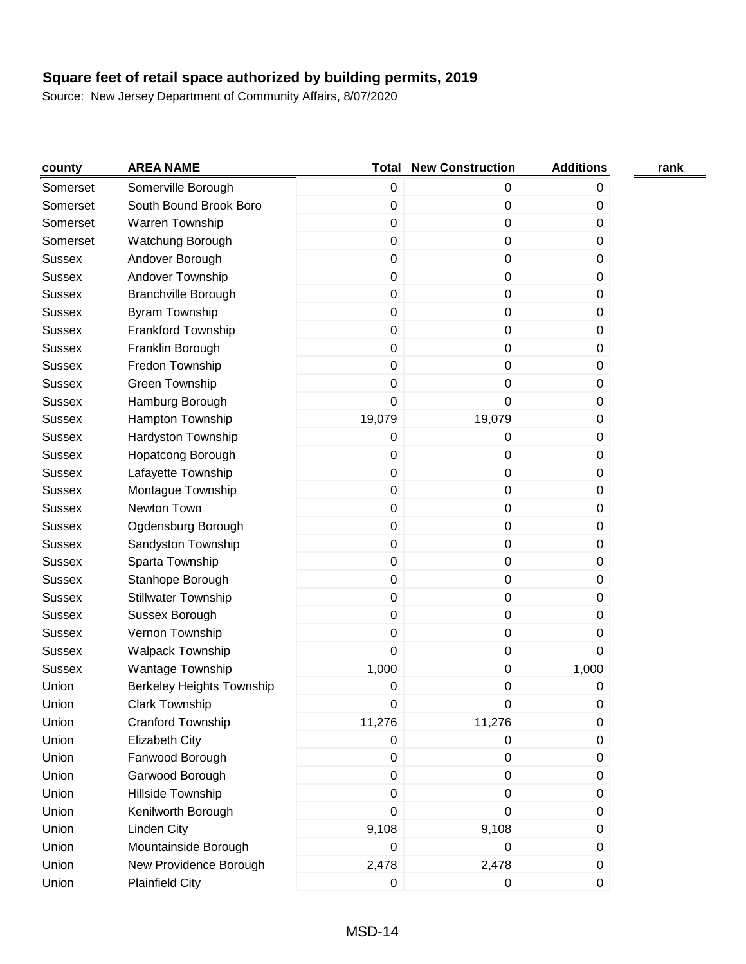| county        | <b>AREA NAME</b>                 | <b>Total</b>     | <b>New Construction</b> | <b>Additions</b> | rank |
|---------------|----------------------------------|------------------|-------------------------|------------------|------|
| Somerset      | Somerville Borough               | $\pmb{0}$        | 0                       | 0                |      |
| Somerset      | South Bound Brook Boro           | $\pmb{0}$        | 0                       | $\boldsymbol{0}$ |      |
| Somerset      | Warren Township                  | 0                | 0                       | 0                |      |
| Somerset      | Watchung Borough                 | $\pmb{0}$        | 0                       | 0                |      |
| <b>Sussex</b> | Andover Borough                  | $\pmb{0}$        | 0                       | 0                |      |
| <b>Sussex</b> | Andover Township                 | $\pmb{0}$        | 0                       | 0                |      |
| <b>Sussex</b> | <b>Branchville Borough</b>       | $\pmb{0}$        | 0                       | 0                |      |
| <b>Sussex</b> | <b>Byram Township</b>            | 0                | 0                       | 0                |      |
| <b>Sussex</b> | Frankford Township               | $\pmb{0}$        | 0                       | 0                |      |
| <b>Sussex</b> | Franklin Borough                 | 0                | 0                       | 0                |      |
| <b>Sussex</b> | Fredon Township                  | $\pmb{0}$        | 0                       | $\boldsymbol{0}$ |      |
| <b>Sussex</b> | Green Township                   | 0                | 0                       | 0                |      |
| <b>Sussex</b> | Hamburg Borough                  | 0                | 0                       | $\boldsymbol{0}$ |      |
| <b>Sussex</b> | Hampton Township                 | 19,079           | 19,079                  | 0                |      |
| <b>Sussex</b> | Hardyston Township               | 0                | 0                       | 0                |      |
| <b>Sussex</b> | Hopatcong Borough                | 0                | 0                       | 0                |      |
| <b>Sussex</b> | Lafayette Township               | $\pmb{0}$        | 0                       | 0                |      |
| <b>Sussex</b> | Montague Township                | $\boldsymbol{0}$ | 0                       | 0                |      |
| <b>Sussex</b> | Newton Town                      | 0                | 0                       | 0                |      |
| <b>Sussex</b> | Ogdensburg Borough               | $\pmb{0}$        | 0                       | 0                |      |
| <b>Sussex</b> | Sandyston Township               | $\pmb{0}$        | 0                       | 0                |      |
| <b>Sussex</b> | Sparta Township                  | $\pmb{0}$        | 0                       | 0                |      |
| <b>Sussex</b> | Stanhope Borough                 | $\pmb{0}$        | 0                       | 0                |      |
| <b>Sussex</b> | <b>Stillwater Township</b>       | $\pmb{0}$        | 0                       | 0                |      |
| <b>Sussex</b> | Sussex Borough                   | 0                | 0                       | 0                |      |
| <b>Sussex</b> | Vernon Township                  | 0                | 0                       | 0                |      |
| <b>Sussex</b> | <b>Walpack Township</b>          | $\mathbf 0$      | 0                       | 0                |      |
| <b>Sussex</b> | Wantage Township                 | 1,000            | 0                       | 1,000            |      |
| Union         | <b>Berkeley Heights Township</b> | 0                | 0                       | 0                |      |
| Union         | Clark Township                   | U                | 0                       | U                |      |
| Union         | Cranford Township                | 11,276           | 11,276                  | $\pmb{0}$        |      |
| Union         | Elizabeth City                   | $\pmb{0}$        | 0                       | $\pmb{0}$        |      |
| Union         | Fanwood Borough                  | 0                | 0                       | 0                |      |
| Union         | Garwood Borough                  | $\pmb{0}$        | 0                       | $\pmb{0}$        |      |
| Union         | Hillside Township                | 0                | 0                       | 0                |      |
| Union         | Kenilworth Borough               | 0                | 0                       | $\boldsymbol{0}$ |      |
| Union         | <b>Linden City</b>               | 9,108            | 9,108                   | 0                |      |
| Union         | Mountainside Borough             | 0                | 0                       | $\boldsymbol{0}$ |      |
| Union         | New Providence Borough           | 2,478            | 2,478                   | $\pmb{0}$        |      |
| Union         | <b>Plainfield City</b>           | $\pmb{0}$        | 0                       | $\boldsymbol{0}$ |      |